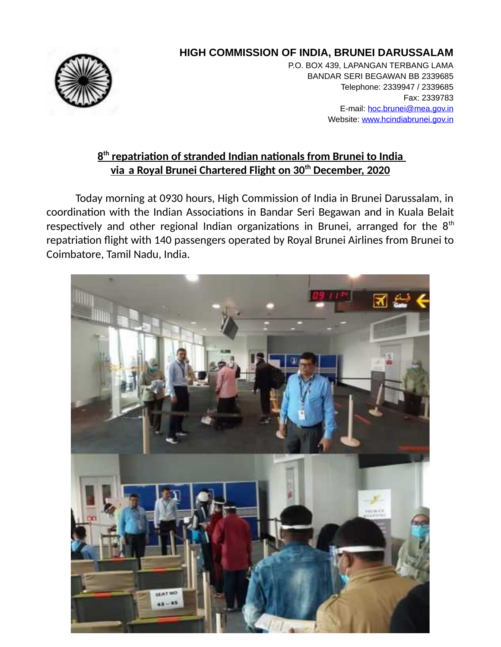

## **HIGH COMMISSION OF INDIA, BRUNEI DARUSSALAM**

P.O. BOX 439, LAPANGAN TERBANG LAMA BANDAR SERI BEGAWAN BB 2339685 Telephone: 2339947 / 2339685 Fax: 2339783 E-mail: hoc.brunei@mea.gov.in Website: www.hcindiabrunei.gov.in

## **8 th repatriation of stranded Indian nationals from Brunei to India via a Royal Brunei Chartered Flight on 30th December, 2020**

Today morning at 0930 hours, High Commission of India in Brunei Darussalam, in coordination with the Indian Associations in Bandar Seri Begawan and in Kuala Belait respectively and other regional Indian organizations in Brunei, arranged for the  $8<sup>th</sup>$ repatriation flight with 140 passengers operated by Royal Brunei Airlines from Brunei to Coimbatore, Tamil Nadu, India.

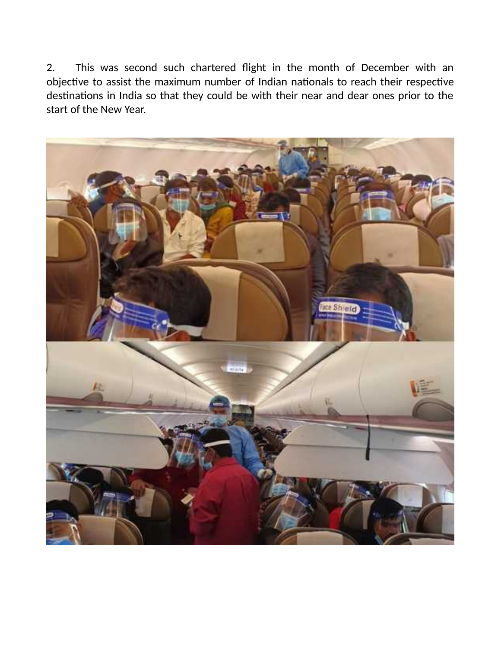2. This was second such chartered flight in the month of December with an objective to assist the maximum number of Indian nationals to reach their respective destinations in India so that they could be with their near and dear ones prior to the start of the New Year.

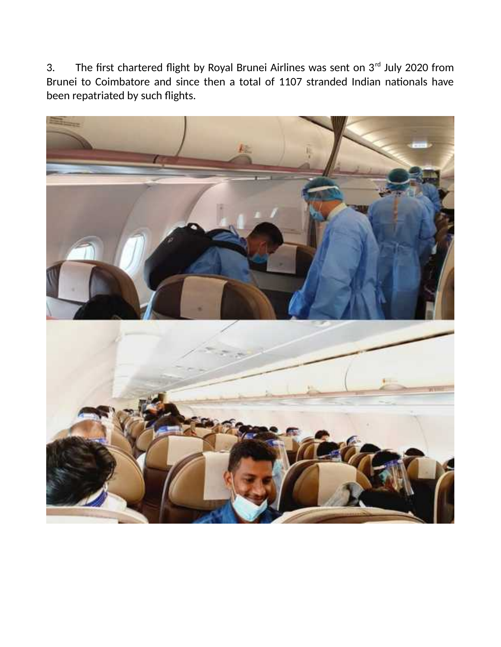3. The first chartered flight by Royal Brunei Airlines was sent on  $3^{rd}$  July 2020 from Brunei to Coimbatore and since then a total of 1107 stranded Indian nationals have been repatriated by such flights.